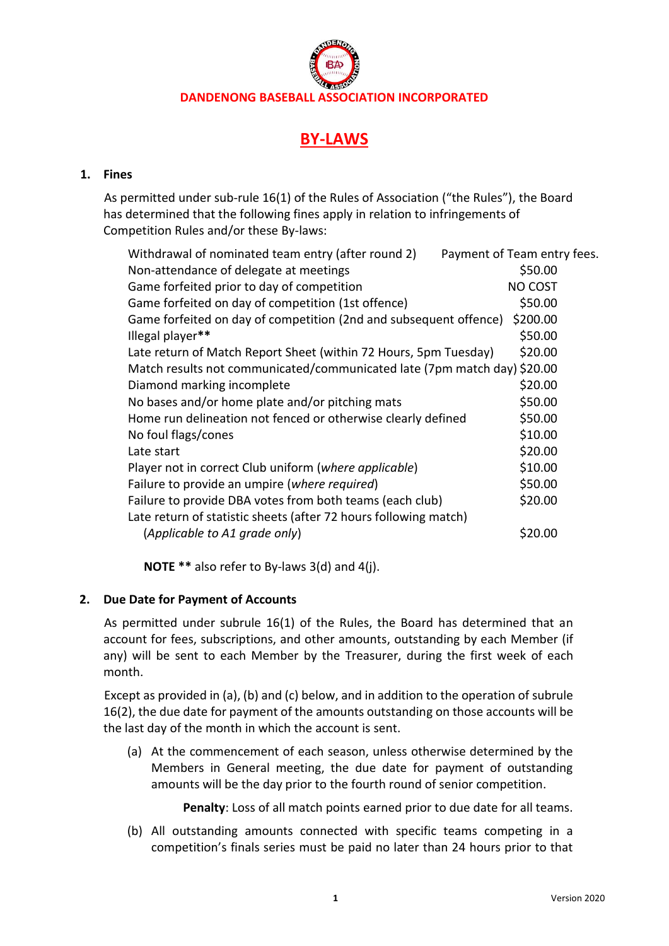# **BY-LAWS**

# **1. Fines**

As permitted under sub-rule 16(1) of the Rules of Association ("the Rules"), the Board has determined that the following fines apply in relation to infringements of Competition Rules and/or these By-laws:

| Payment of Team entry fees.                                                   |
|-------------------------------------------------------------------------------|
| \$50.00                                                                       |
| NO COST                                                                       |
| \$50.00                                                                       |
| \$200.00<br>Game forfeited on day of competition (2nd and subsequent offence) |
| \$50.00                                                                       |
| \$20.00<br>Late return of Match Report Sheet (within 72 Hours, 5pm Tuesday)   |
| Match results not communicated/communicated late (7pm match day) \$20.00      |
| \$20.00                                                                       |
| \$50.00                                                                       |
| \$50.00                                                                       |
| \$10.00                                                                       |
| \$20.00                                                                       |
| \$10.00                                                                       |
| \$50.00                                                                       |
| \$20.00                                                                       |
|                                                                               |
| \$20.00                                                                       |
|                                                                               |

**NOTE \*\*** also refer to By-laws 3(d) and 4(j).

# **2. Due Date for Payment of Accounts**

As permitted under subrule 16(1) of the Rules, the Board has determined that an account for fees, subscriptions, and other amounts, outstanding by each Member (if any) will be sent to each Member by the Treasurer, during the first week of each month.

Except as provided in (a), (b) and (c) below, and in addition to the operation of subrule 16(2), the due date for payment of the amounts outstanding on those accounts will be the last day of the month in which the account is sent.

(a) At the commencement of each season, unless otherwise determined by the Members in General meeting, the due date for payment of outstanding amounts will be the day prior to the fourth round of senior competition.

**Penalty**: Loss of all match points earned prior to due date for all teams.

(b) All outstanding amounts connected with specific teams competing in a competition's finals series must be paid no later than 24 hours prior to that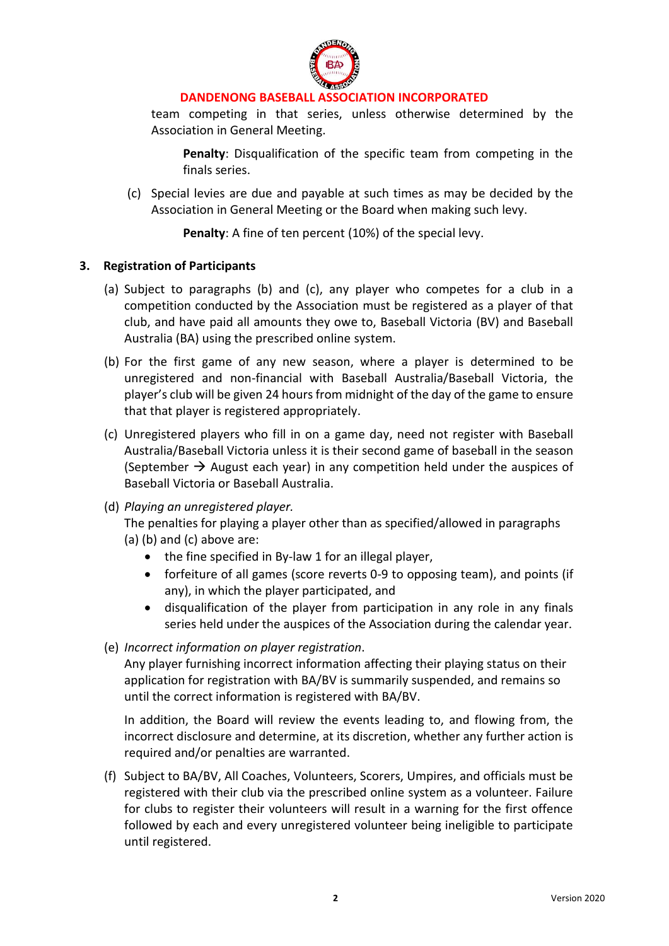

team competing in that series, unless otherwise determined by the Association in General Meeting.

**Penalty**: Disqualification of the specific team from competing in the finals series.

(c) Special levies are due and payable at such times as may be decided by the Association in General Meeting or the Board when making such levy.

**Penalty**: A fine of ten percent (10%) of the special levy.

#### **3. Registration of Participants**

- (a) Subject to paragraphs (b) and (c), any player who competes for a club in a competition conducted by the Association must be registered as a player of that club, and have paid all amounts they owe to, Baseball Victoria (BV) and Baseball Australia (BA) using the prescribed online system.
- (b) For the first game of any new season, where a player is determined to be unregistered and non-financial with Baseball Australia/Baseball Victoria, the player's club will be given 24 hours from midnight of the day of the game to ensure that that player is registered appropriately.
- (c) Unregistered players who fill in on a game day, need not register with Baseball Australia/Baseball Victoria unless it is their second game of baseball in the season (September  $\rightarrow$  August each year) in any competition held under the auspices of Baseball Victoria or Baseball Australia.
- (d) *Playing an unregistered player.*

The penalties for playing a player other than as specified/allowed in paragraphs

- (a) (b) and (c) above are:
	- the fine specified in By-law 1 for an illegal player,
	- forfeiture of all games (score reverts 0-9 to opposing team), and points (if any), in which the player participated, and
	- disqualification of the player from participation in any role in any finals series held under the auspices of the Association during the calendar year.
- (e) *Incorrect information on player registration*.

Any player furnishing incorrect information affecting their playing status on their application for registration with BA/BV is summarily suspended, and remains so until the correct information is registered with BA/BV.

In addition, the Board will review the events leading to, and flowing from, the incorrect disclosure and determine, at its discretion, whether any further action is required and/or penalties are warranted.

(f) Subject to BA/BV, All Coaches, Volunteers, Scorers, Umpires, and officials must be registered with their club via the prescribed online system as a volunteer. Failure for clubs to register their volunteers will result in a warning for the first offence followed by each and every unregistered volunteer being ineligible to participate until registered.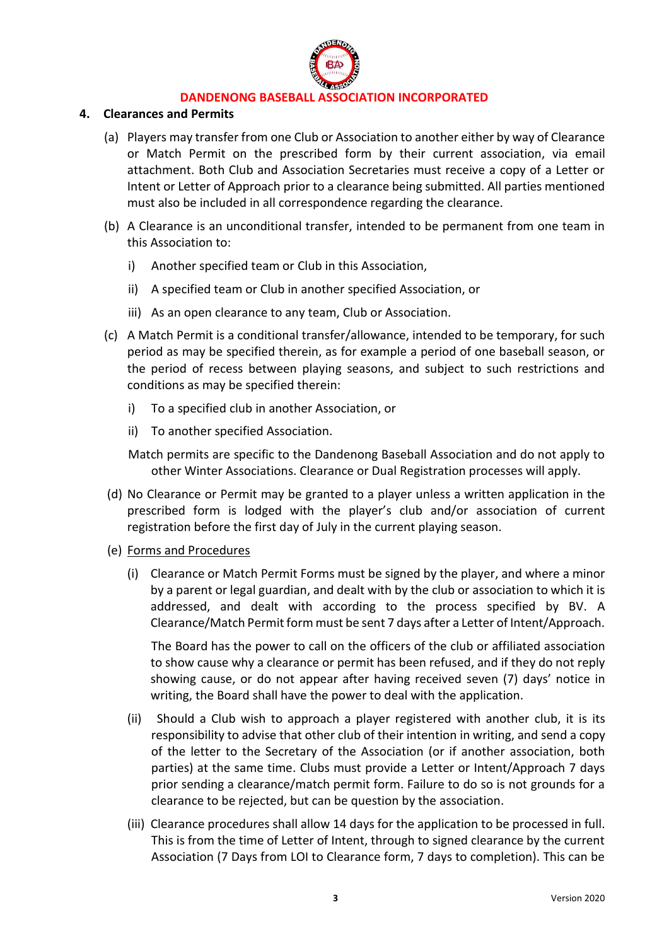

#### **4. Clearances and Permits**

- (a) Players may transfer from one Club or Association to another either by way of Clearance or Match Permit on the prescribed form by their current association, via email attachment. Both Club and Association Secretaries must receive a copy of a Letter or Intent or Letter of Approach prior to a clearance being submitted. All parties mentioned must also be included in all correspondence regarding the clearance.
- (b) A Clearance is an unconditional transfer, intended to be permanent from one team in this Association to:
	- i) Another specified team or Club in this Association,
	- ii) A specified team or Club in another specified Association, or
	- iii) As an open clearance to any team, Club or Association.
- (c) A Match Permit is a conditional transfer/allowance, intended to be temporary, for such period as may be specified therein, as for example a period of one baseball season, or the period of recess between playing seasons, and subject to such restrictions and conditions as may be specified therein:
	- i) To a specified club in another Association, or
	- ii) To another specified Association.

Match permits are specific to the Dandenong Baseball Association and do not apply to other Winter Associations. Clearance or Dual Registration processes will apply.

- (d) No Clearance or Permit may be granted to a player unless a written application in the prescribed form is lodged with the player's club and/or association of current registration before the first day of July in the current playing season.
- (e) Forms and Procedures
	- (i) Clearance or Match Permit Forms must be signed by the player, and where a minor by a parent or legal guardian, and dealt with by the club or association to which it is addressed, and dealt with according to the process specified by BV. A Clearance/Match Permit form must be sent 7 days after a Letter of Intent/Approach.

The Board has the power to call on the officers of the club or affiliated association to show cause why a clearance or permit has been refused, and if they do not reply showing cause, or do not appear after having received seven (7) days' notice in writing, the Board shall have the power to deal with the application.

- (ii) Should a Club wish to approach a player registered with another club, it is its responsibility to advise that other club of their intention in writing, and send a copy of the letter to the Secretary of the Association (or if another association, both parties) at the same time. Clubs must provide a Letter or Intent/Approach 7 days prior sending a clearance/match permit form. Failure to do so is not grounds for a clearance to be rejected, but can be question by the association.
- (iii) Clearance procedures shall allow 14 days for the application to be processed in full. This is from the time of Letter of Intent, through to signed clearance by the current Association (7 Days from LOI to Clearance form, 7 days to completion). This can be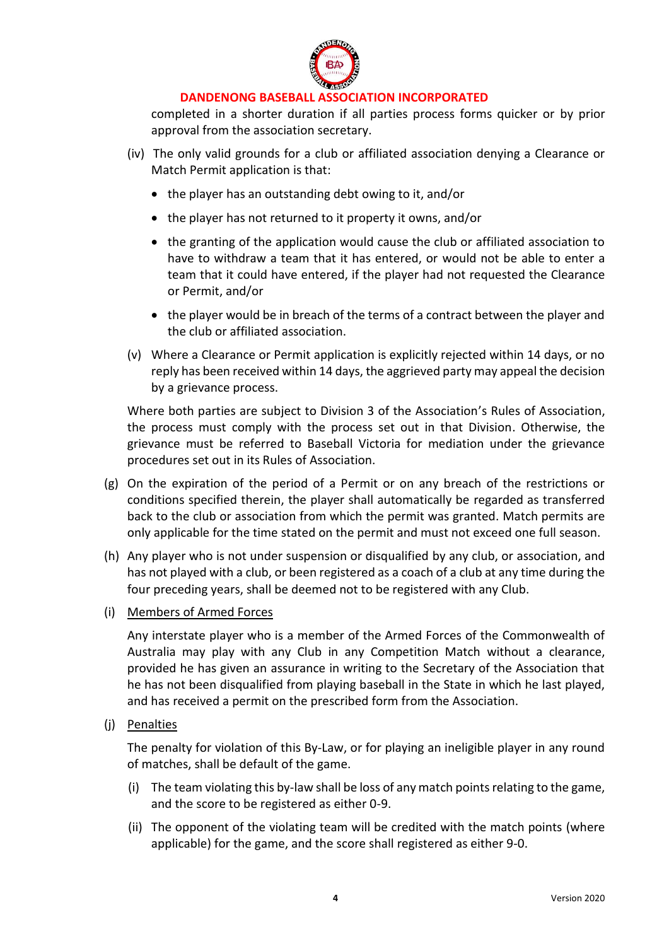

completed in a shorter duration if all parties process forms quicker or by prior approval from the association secretary.

- (iv) The only valid grounds for a club or affiliated association denying a Clearance or Match Permit application is that:
	- the player has an outstanding debt owing to it, and/or
	- the player has not returned to it property it owns, and/or
	- the granting of the application would cause the club or affiliated association to have to withdraw a team that it has entered, or would not be able to enter a team that it could have entered, if the player had not requested the Clearance or Permit, and/or
	- the player would be in breach of the terms of a contract between the player and the club or affiliated association.
- (v) Where a Clearance or Permit application is explicitly rejected within 14 days, or no reply has been received within 14 days, the aggrieved party may appeal the decision by a grievance process.

Where both parties are subject to Division 3 of the Association's Rules of Association, the process must comply with the process set out in that Division. Otherwise, the grievance must be referred to Baseball Victoria for mediation under the grievance procedures set out in its Rules of Association.

- (g) On the expiration of the period of a Permit or on any breach of the restrictions or conditions specified therein, the player shall automatically be regarded as transferred back to the club or association from which the permit was granted. Match permits are only applicable for the time stated on the permit and must not exceed one full season.
- (h) Any player who is not under suspension or disqualified by any club, or association, and has not played with a club, or been registered as a coach of a club at any time during the four preceding years, shall be deemed not to be registered with any Club.
- (i) Members of Armed Forces

Any interstate player who is a member of the Armed Forces of the Commonwealth of Australia may play with any Club in any Competition Match without a clearance, provided he has given an assurance in writing to the Secretary of the Association that he has not been disqualified from playing baseball in the State in which he last played, and has received a permit on the prescribed form from the Association.

(j) Penalties

The penalty for violation of this By-Law, or for playing an ineligible player in any round of matches, shall be default of the game.

- (i) The team violating this by-law shall be loss of any match points relating to the game, and the score to be registered as either 0-9.
- (ii) The opponent of the violating team will be credited with the match points (where applicable) for the game, and the score shall registered as either 9-0.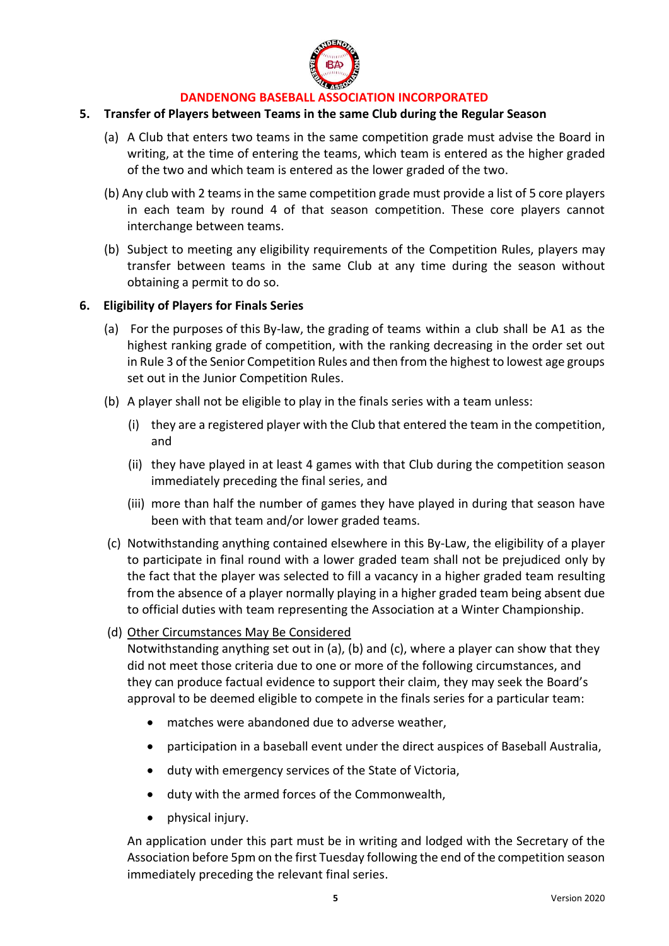

#### **5. Transfer of Players between Teams in the same Club during the Regular Season**

- (a) A Club that enters two teams in the same competition grade must advise the Board in writing, at the time of entering the teams, which team is entered as the higher graded of the two and which team is entered as the lower graded of the two.
- (b) Any club with 2 teams in the same competition grade must provide a list of 5 core players in each team by round 4 of that season competition. These core players cannot interchange between teams.
- (b) Subject to meeting any eligibility requirements of the Competition Rules, players may transfer between teams in the same Club at any time during the season without obtaining a permit to do so.

#### **6. Eligibility of Players for Finals Series**

- (a) For the purposes of this By-law, the grading of teams within a club shall be A1 as the highest ranking grade of competition, with the ranking decreasing in the order set out in Rule 3 of the Senior Competition Rules and then from the highest to lowest age groups set out in the Junior Competition Rules.
- (b) A player shall not be eligible to play in the finals series with a team unless:
	- (i) they are a registered player with the Club that entered the team in the competition, and
	- (ii) they have played in at least 4 games with that Club during the competition season immediately preceding the final series, and
	- (iii) more than half the number of games they have played in during that season have been with that team and/or lower graded teams.
- (c) Notwithstanding anything contained elsewhere in this By-Law, the eligibility of a player to participate in final round with a lower graded team shall not be prejudiced only by the fact that the player was selected to fill a vacancy in a higher graded team resulting from the absence of a player normally playing in a higher graded team being absent due to official duties with team representing the Association at a Winter Championship.
- (d) Other Circumstances May Be Considered

Notwithstanding anything set out in (a), (b) and (c), where a player can show that they did not meet those criteria due to one or more of the following circumstances, and they can produce factual evidence to support their claim, they may seek the Board's approval to be deemed eligible to compete in the finals series for a particular team:

- matches were abandoned due to adverse weather,
- participation in a baseball event under the direct auspices of Baseball Australia,
- duty with emergency services of the State of Victoria,
- duty with the armed forces of the Commonwealth,
- physical injury.

An application under this part must be in writing and lodged with the Secretary of the Association before 5pm on the first Tuesday following the end of the competition season immediately preceding the relevant final series.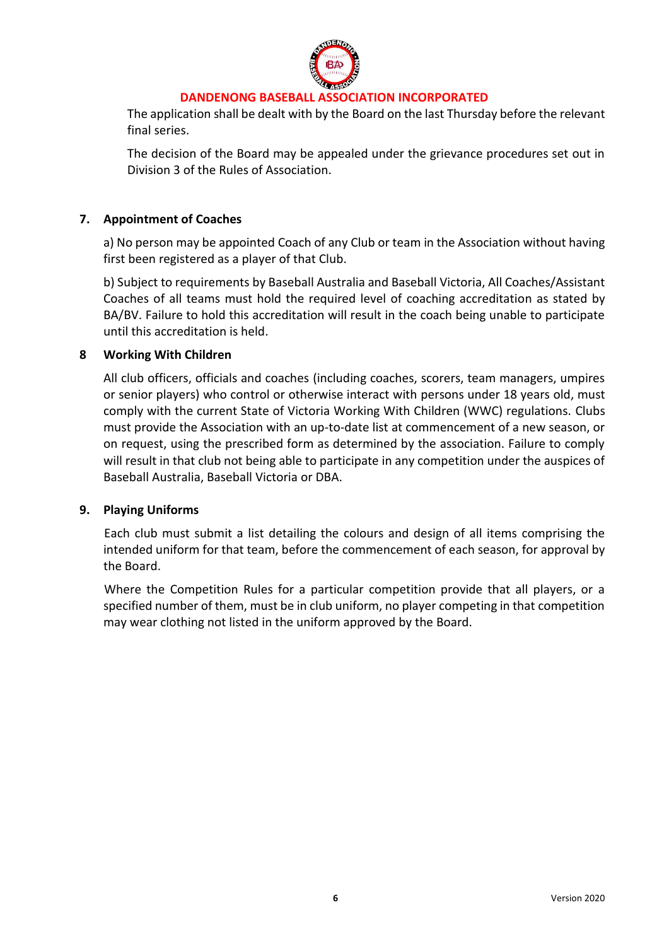

The application shall be dealt with by the Board on the last Thursday before the relevant final series.

The decision of the Board may be appealed under the grievance procedures set out in Division 3 of the Rules of Association.

# **7. Appointment of Coaches**

a) No person may be appointed Coach of any Club or team in the Association without having first been registered as a player of that Club.

b) Subject to requirements by Baseball Australia and Baseball Victoria, All Coaches/Assistant Coaches of all teams must hold the required level of coaching accreditation as stated by BA/BV. Failure to hold this accreditation will result in the coach being unable to participate until this accreditation is held.

#### **8 Working With Children**

All club officers, officials and coaches (including coaches, scorers, team managers, umpires or senior players) who control or otherwise interact with persons under 18 years old, must comply with the current State of Victoria Working With Children (WWC) regulations. Clubs must provide the Association with an up-to-date list at commencement of a new season, or on request, using the prescribed form as determined by the association. Failure to comply will result in that club not being able to participate in any competition under the auspices of Baseball Australia, Baseball Victoria or DBA.

#### **9. Playing Uniforms**

Each club must submit a list detailing the colours and design of all items comprising the intended uniform for that team, before the commencement of each season, for approval by the Board.

Where the Competition Rules for a particular competition provide that all players, or a specified number of them, must be in club uniform, no player competing in that competition may wear clothing not listed in the uniform approved by the Board.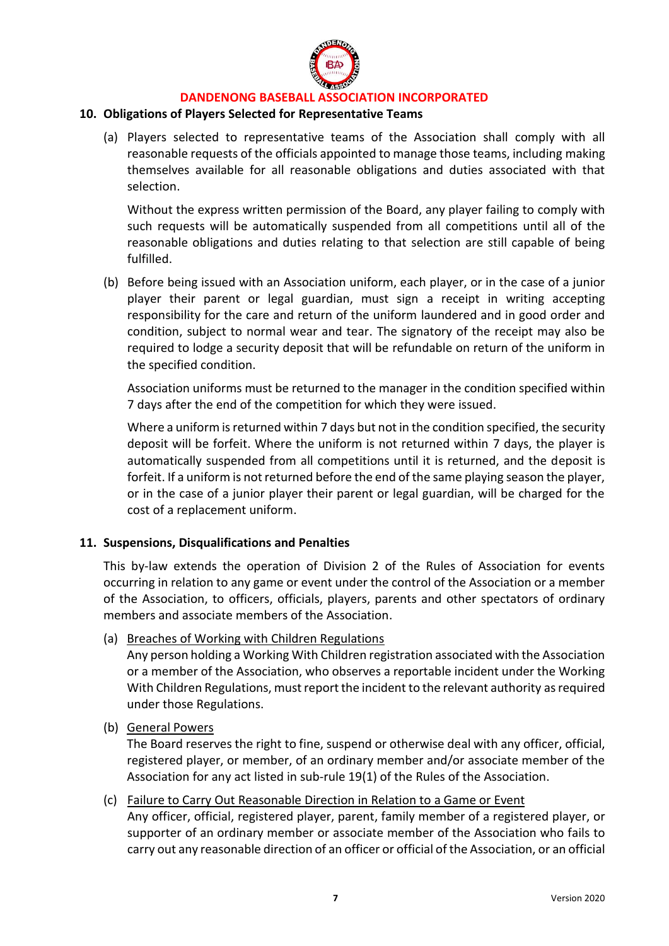

#### **10. Obligations of Players Selected for Representative Teams**

(a) Players selected to representative teams of the Association shall comply with all reasonable requests of the officials appointed to manage those teams, including making themselves available for all reasonable obligations and duties associated with that selection.

Without the express written permission of the Board, any player failing to comply with such requests will be automatically suspended from all competitions until all of the reasonable obligations and duties relating to that selection are still capable of being fulfilled.

(b) Before being issued with an Association uniform, each player, or in the case of a junior player their parent or legal guardian, must sign a receipt in writing accepting responsibility for the care and return of the uniform laundered and in good order and condition, subject to normal wear and tear. The signatory of the receipt may also be required to lodge a security deposit that will be refundable on return of the uniform in the specified condition.

Association uniforms must be returned to the manager in the condition specified within 7 days after the end of the competition for which they were issued.

Where a uniform is returned within 7 days but not in the condition specified, the security deposit will be forfeit. Where the uniform is not returned within 7 days, the player is automatically suspended from all competitions until it is returned, and the deposit is forfeit. If a uniform is not returned before the end of the same playing season the player, or in the case of a junior player their parent or legal guardian, will be charged for the cost of a replacement uniform.

#### **11. Suspensions, Disqualifications and Penalties**

This by-law extends the operation of Division 2 of the Rules of Association for events occurring in relation to any game or event under the control of the Association or a member of the Association, to officers, officials, players, parents and other spectators of ordinary members and associate members of the Association.

(a) Breaches of Working with Children Regulations

Any person holding a Working With Children registration associated with the Association or a member of the Association, who observes a reportable incident under the Working With Children Regulations, must report the incident to the relevant authority as required under those Regulations.

(b) General Powers

The Board reserves the right to fine, suspend or otherwise deal with any officer, official, registered player, or member, of an ordinary member and/or associate member of the Association for any act listed in sub-rule 19(1) of the Rules of the Association.

(c) Failure to Carry Out Reasonable Direction in Relation to a Game or Event Any officer, official, registered player, parent, family member of a registered player, or supporter of an ordinary member or associate member of the Association who fails to carry out any reasonable direction of an officer or official of the Association, or an official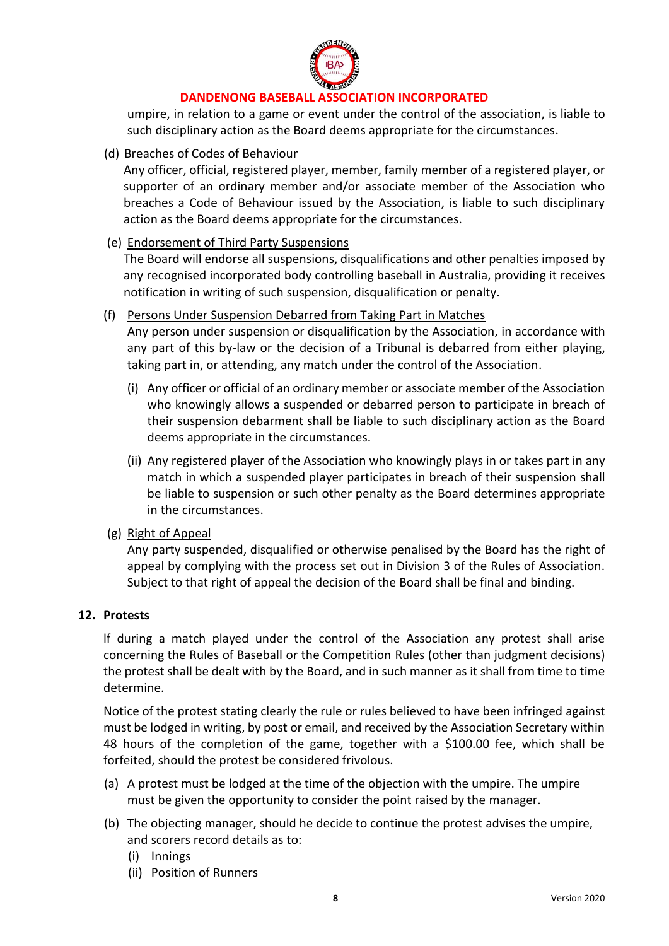

umpire, in relation to a game or event under the control of the association, is liable to such disciplinary action as the Board deems appropriate for the circumstances.

# (d) Breaches of Codes of Behaviour

Any officer, official, registered player, member, family member of a registered player, or supporter of an ordinary member and/or associate member of the Association who breaches a Code of Behaviour issued by the Association, is liable to such disciplinary action as the Board deems appropriate for the circumstances.

# (e) Endorsement of Third Party Suspensions

The Board will endorse all suspensions, disqualifications and other penalties imposed by any recognised incorporated body controlling baseball in Australia, providing it receives notification in writing of such suspension, disqualification or penalty.

(f) Persons Under Suspension Debarred from Taking Part in Matches

Any person under suspension or disqualification by the Association, in accordance with any part of this by-law or the decision of a Tribunal is debarred from either playing, taking part in, or attending, any match under the control of the Association.

- (i) Any officer or official of an ordinary member or associate member of the Association who knowingly allows a suspended or debarred person to participate in breach of their suspension debarment shall be liable to such disciplinary action as the Board deems appropriate in the circumstances.
- (ii) Any registered player of the Association who knowingly plays in or takes part in any match in which a suspended player participates in breach of their suspension shall be liable to suspension or such other penalty as the Board determines appropriate in the circumstances.
- (g) Right of Appeal

Any party suspended, disqualified or otherwise penalised by the Board has the right of appeal by complying with the process set out in Division 3 of the Rules of Association. Subject to that right of appeal the decision of the Board shall be final and binding.

#### **12. Protests**

lf during a match played under the control of the Association any protest shall arise concerning the Rules of Baseball or the Competition Rules (other than judgment decisions) the protest shall be dealt with by the Board, and in such manner as it shall from time to time determine.

Notice of the protest stating clearly the rule or rules believed to have been infringed against must be lodged in writing, by post or email, and received by the Association Secretary within 48 hours of the completion of the game, together with a \$100.00 fee, which shall be forfeited, should the protest be considered frivolous.

- (a) A protest must be lodged at the time of the objection with the umpire. The umpire must be given the opportunity to consider the point raised by the manager.
- (b) The objecting manager, should he decide to continue the protest advises the umpire, and scorers record details as to:
	- (i) Innings
	- (ii) Position of Runners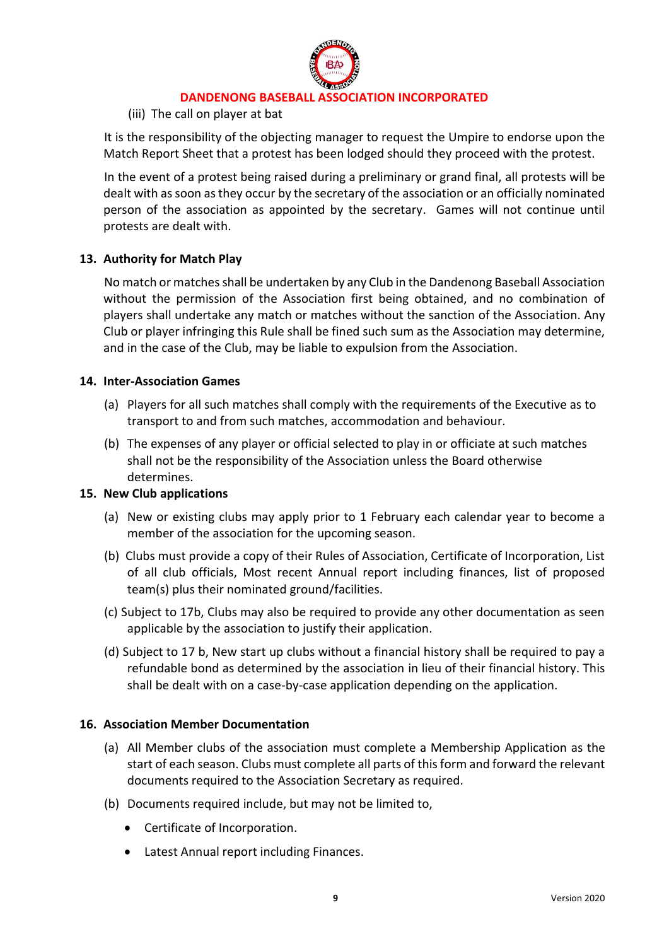

# (iii) The call on player at bat

It is the responsibility of the objecting manager to request the Umpire to endorse upon the Match Report Sheet that a protest has been lodged should they proceed with the protest.

In the event of a protest being raised during a preliminary or grand final, all protests will be dealt with as soon as they occur by the secretary of the association or an officially nominated person of the association as appointed by the secretary. Games will not continue until protests are dealt with.

# **13. Authority for Match Play**

No match or matches shall be undertaken by any Club in the Dandenong Baseball Association without the permission of the Association first being obtained, and no combination of players shall undertake any match or matches without the sanction of the Association. Any Club or player infringing this Rule shall be fined such sum as the Association may determine, and in the case of the Club, may be liable to expulsion from the Association.

#### **14. Inter-Association Games**

- (a) Players for all such matches shall comply with the requirements of the Executive as to transport to and from such matches, accommodation and behaviour.
- (b) The expenses of any player or official selected to play in or officiate at such matches shall not be the responsibility of the Association unless the Board otherwise determines.

#### **15. New Club applications**

- (a) New or existing clubs may apply prior to 1 February each calendar year to become a member of the association for the upcoming season.
- (b) Clubs must provide a copy of their Rules of Association, Certificate of Incorporation, List of all club officials, Most recent Annual report including finances, list of proposed team(s) plus their nominated ground/facilities.
- (c) Subject to 17b, Clubs may also be required to provide any other documentation as seen applicable by the association to justify their application.
- (d) Subject to 17 b, New start up clubs without a financial history shall be required to pay a refundable bond as determined by the association in lieu of their financial history. This shall be dealt with on a case-by-case application depending on the application.

#### **16. Association Member Documentation**

- (a) All Member clubs of the association must complete a Membership Application as the start of each season. Clubs must complete all parts of this form and forward the relevant documents required to the Association Secretary as required.
- (b) Documents required include, but may not be limited to,
	- Certificate of Incorporation.
	- Latest Annual report including Finances.